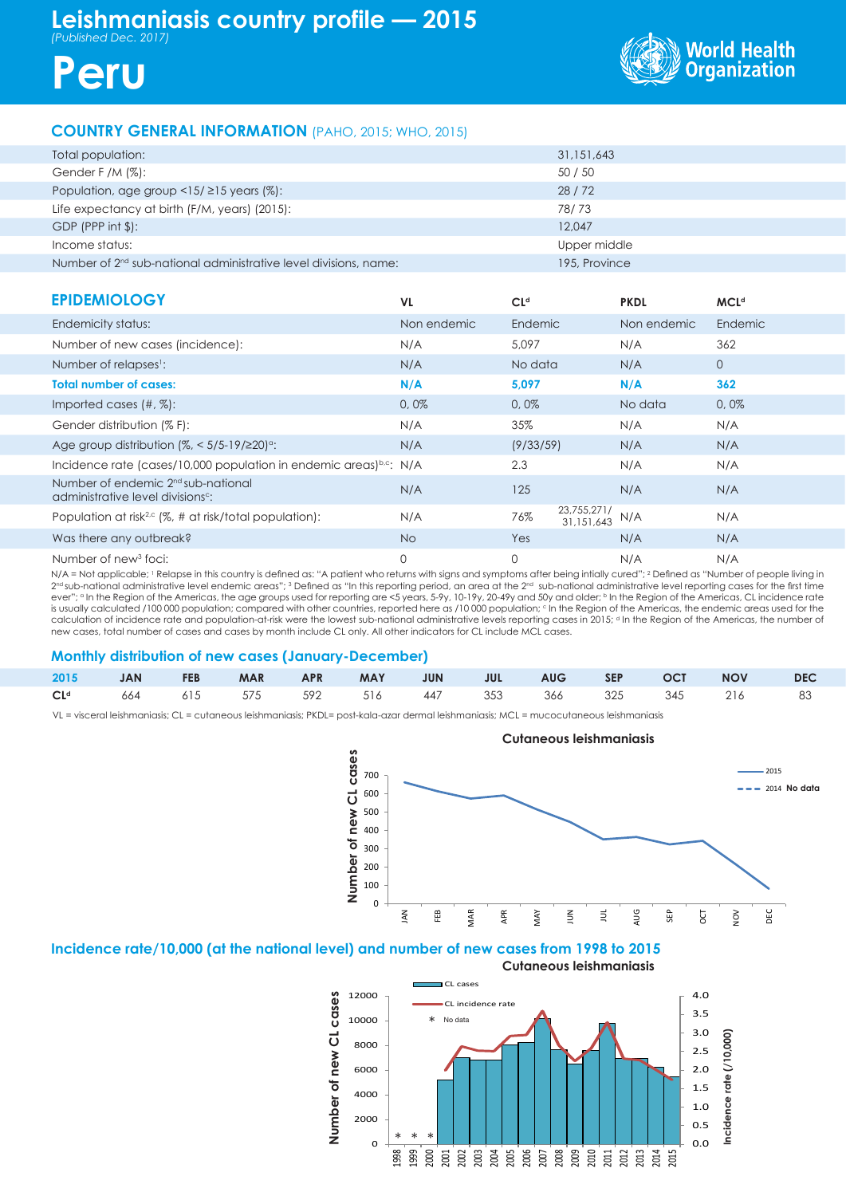



## **COUNTRY GENERAL INFORMATION** (PAHO, 2015; WHO, 2015)

| Total population:                                                  | 31,151,643    |
|--------------------------------------------------------------------|---------------|
| Gender F /M $(\%)$ :                                               | 50 / 50       |
| Population, age group <15/ $\geq$ 15 years (%):                    | 28/72         |
| Life expectancy at birth (F/M, years) (2015):                      | 78/73         |
| $GDP$ (PPP int $$$ ):                                              | 12,047        |
| Income status:                                                     | Upper middle  |
| Number of $2nd$ sub-national administrative level divisions, name: | 195, Province |

| <b>EPIDEMIOLOGY</b>                                                                             | VL.         | Cl <sup>d</sup>                  | <b>PKDL</b> | <b>MCL<sup>d</sup></b> |
|-------------------------------------------------------------------------------------------------|-------------|----------------------------------|-------------|------------------------|
| Endemicity status:                                                                              | Non endemic | Endemic                          | Non endemic | Endemic                |
| Number of new cases (incidence):                                                                | N/A         | 5,097                            | N/A         | 362                    |
| Number of relapses <sup>1</sup> :                                                               | N/A         | No data                          | N/A         | $\overline{0}$         |
| <b>Total number of cases:</b>                                                                   | N/A         | 5,097                            | N/A         | 362                    |
| Imported cases $(\#, \%)$ :                                                                     | 0,0%        | 0,0%                             | No data     | 0,0%                   |
| Gender distribution (% F):                                                                      | N/A         | 35%                              | N/A         | N/A                    |
| Age group distribution $(\%,-5/5-19/220)$ <sup>o</sup> :                                        | N/A         | (9/33/59)                        | N/A         | N/A                    |
| Incidence rate (cases/10,000 population in endemic areas) <sup>b.c</sup> : N/A                  |             | 2.3                              | N/A         | N/A                    |
| Number of endemic 2 <sup>nd</sup> sub-national<br>administrative level divisions <sup>c</sup> : | N/A         | 125                              | N/A         | N/A                    |
| Population at risk <sup>2,c</sup> (%, # at risk/total population):                              | N/A         | 23,755,271/<br>76%<br>31.151.643 | N/A         | N/A                    |
| Was there any outbreak?                                                                         | <b>No</b>   | Yes                              | N/A         | N/A                    |
| Number of new <sup>3</sup> foci:                                                                | $\mathbf 0$ | 0                                | N/A         | N/A                    |

N/A = Not applicable; <sup>1</sup> Relapse in this country is defined as: "A patient who returns with signs and symptoms after being intially cured"; <sup>2</sup> Defined as "Number of people living in  $2^{\rm nd}$ sub-national administrative level endemic areas"; 3 Defined as "In this reporting period, an area at the  $2^{\rm nd}$  sub-national administrative level reporting cases for the first time ever"; <sup>a</sup> In the Region of the Americas, the age groups used for reporting are <5 years, 5-9y, 10-19y, 20-49y and 50y and older; <sup>b</sup> In the Region of the Americas, CL incidence rate is usually calculated /100 000 population; compared with other countries, reported here as /10 000 population; c In the Region of the Americas, the endemic areas used for the calculation of incidence rate and population-at-risk were the lowest sub-national administrative levels reporting cases in 2015; d In the Region of the Americas, the number of new cases, total number of cases and cases by month include CL only. All other indicators for CL include MCL cases.

### **Monthly distribution of new cases (January-December)**

|  |  |  |  |  | 2015 JAN FEB MAR APR MAY JUN JUL AUG SEP OCT NOV DEC |  |
|--|--|--|--|--|------------------------------------------------------|--|
|  |  |  |  |  | $CLd$ 664 615 575 592 516 447 353 366 325 345 216 83 |  |

VL = visceral leishmaniasis; CL = cutaneous leishmaniasis; PKDL= post-kala-azar dermal leishmaniasis; MCL = mucocutaneous leishmaniasis



## **Incidence rate/10,000 (at the national level) and number of new cases from 1998 to 2015**